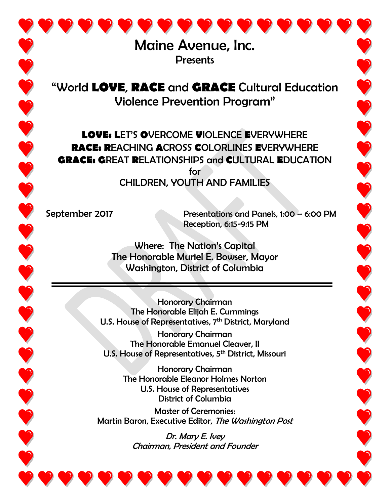Maine Avenue, Inc. **Presents** 

"World **LOVE**, **RACE** and **GRACE** Cultural Education Violence Prevention Program"

**LOVE: L**ET'S **O**VERCOME **V**IOLENCE **E**VERYWHERE **RACE: R**EACHING **A**CROSS **C**OLORLINES **E**VERYWHERE **GRACE: G**REAT **R**ELATIONSHIPS and **C**ULTURAL **E**DUCATION for CHILDREN, YOUTH AND FAMILIES

September 2017 Presentations and Panels, 1:00 – 6:00 PM Reception, 6:15-9:15 PM

Where: The Nation's Capital The Honorable Muriel E. Bowser, Mayor Washington, District of Columbia

Honorary Chairman The Honorable Elijah E. Cummings U.S. House of Representatives, 7<sup>th</sup> District, Maryland

Honorary Chairman The Honorable Emanuel Cleaver, II U.S. House of Representatives, 5<sup>th</sup> District, Missouri

Honorary Chairman The Honorable Eleanor Holmes Norton U.S. House of Representatives District of Columbia

Master of Ceremonies: Martin Baron, Executive Editor, The Washington Post

> Dr. Mary E. Ivey Chairman, President and Founder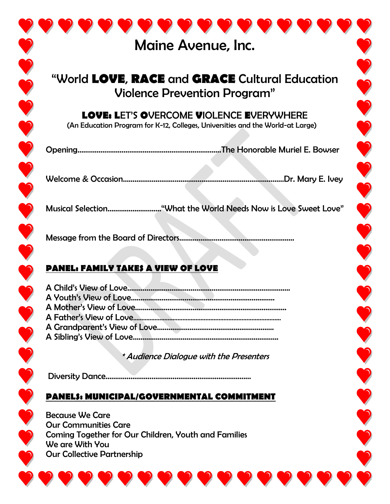| <b>Maine Avenue, Inc.</b>                                                                                                                                      |
|----------------------------------------------------------------------------------------------------------------------------------------------------------------|
| "World LOVE, RACE and GRACE Cultural Education<br>Violence Prevention Program"                                                                                 |
| <b>LOVE: LET'S OVERCOME VIOLENCE EVERYWHERE</b><br>(An Education Program for K-12, Colleges, Universities and the World-at Large)                              |
|                                                                                                                                                                |
|                                                                                                                                                                |
| Musical Selection"What the World Needs Now is Love Sweet Love"                                                                                                 |
|                                                                                                                                                                |
| PANEL: FAMILY TAKES A VIEW OF LOVE                                                                                                                             |
|                                                                                                                                                                |
|                                                                                                                                                                |
|                                                                                                                                                                |
|                                                                                                                                                                |
|                                                                                                                                                                |
|                                                                                                                                                                |
| * Audience Dialogue with the Presenters                                                                                                                        |
|                                                                                                                                                                |
| PANEL\$: MUNICIPAL/GOVERNMENTAL COMMITMENT                                                                                                                     |
| <b>Because We Care</b><br>Our Communities Care<br>Coming Together for Our Children, Youth and Families<br>We are With You<br><b>Our Collective Partnership</b> |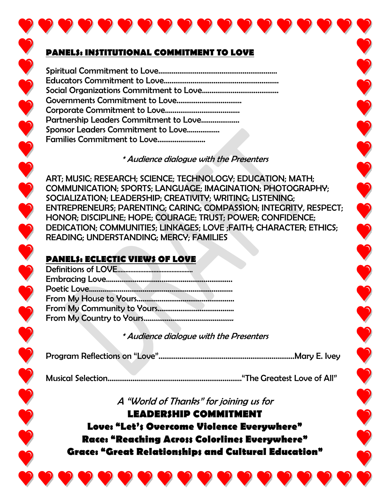## **PANELS: INSTITUTIONAL COMMITMENT TO LOVE**

| Partnership Leaders Commitment to Love |
|----------------------------------------|
| Sponsor Leaders Commitment to Love     |
|                                        |
|                                        |

## \* Audience dialogue with the Presenters

ART; MUSIC; RESEARCH; SCIENCE; TECHNOLOGY; EDUCATION; MATH; COMMUNICATION; SPORTS; LANGUAGE; IMAGINATION; PHOTOGRAPHY; SOCIALIZATION; LEADERSHIP; CREATIVITY; WRITING; LISTENING; ENTREPRENEURS; PARENTING; CARING; COMPASSION; INTEGRITY, RESPECT; HONOR; DISCIPLINE; HOPE; COURAGE; TRUST; POWER; CONFIDENCE; DEDICATION; COMMUNITIES; LINKAGES; LOVE ;FAITH; CHARACTER; ETHICS; READING; UNDERSTANDING; MERCY; FAMILIES

## **PANELS: ECLECTIC VIEWS OF LOVE**

## \* Audience dialogue with the Presenters

Program Reflections on "Love"……………….………………………………….…………Mary E. Ivey

Musical Selection………………………………….…….…………..………"The Greatest Love of All"

A "World of Thanks" for joining us for

**LEADERSHIP COMMITMENT Love: "Let's Overcome Violence Everywhere" Race: "Reaching Across Colorlines Everywhere" Grace: "Great Relationships and Cultural Education"**